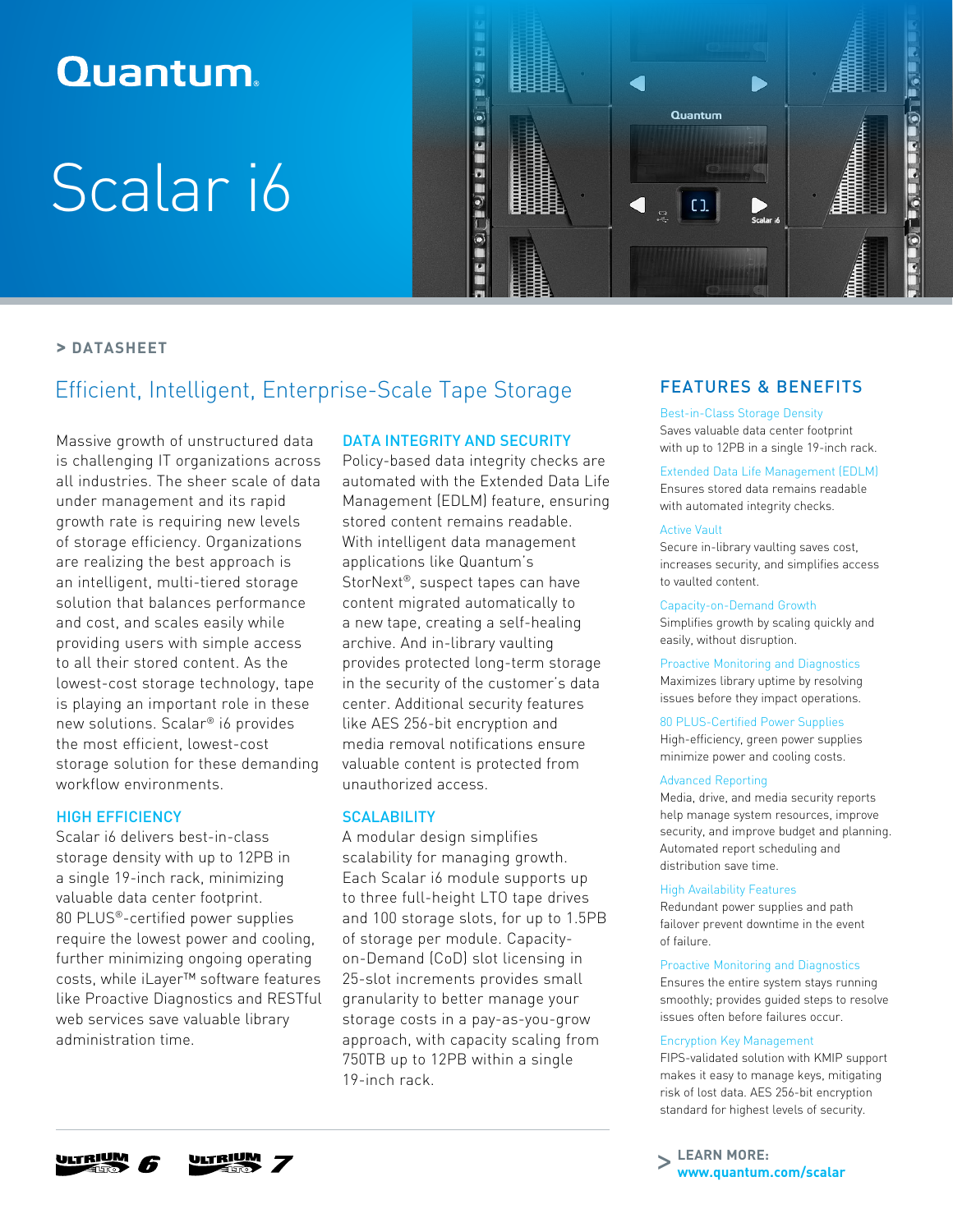## **Quantum**

# Scalar i6



#### **> DATASHEET**

### Efficient, Intelligent, Enterprise-Scale Tape Storage

Massive growth of unstructured data is challenging IT organizations across all industries. The sheer scale of data under management and its rapid growth rate is requiring new levels of storage efficiency. Organizations are realizing the best approach is an intelligent, multi-tiered storage solution that balances performance and cost, and scales easily while providing users with simple access to all their stored content. As the lowest-cost storage technology, tape is playing an important role in these new solutions. Scalar® i6 provides the most efficient, lowest-cost storage solution for these demanding workflow environments.

#### HIGH EFFICIENCY

Scalar i6 delivers best-in-class storage density with up to 12PB in a single 19-inch rack, minimizing valuable data center footprint. 80 PLUS®-certified power supplies require the lowest power and cooling, further minimizing ongoing operating costs, while iLayer™ software features like Proactive Diagnostics and RESTful web services save valuable library administration time.

#### DATA INTEGRITY AND SECURITY

Policy-based data integrity checks are automated with the Extended Data Life Management (EDLM) feature, ensuring stored content remains readable. With intelligent data management applications like Quantum's StorNext<sup>®</sup>, suspect tapes can have content migrated automatically to a new tape, creating a self-healing archive. And in-library vaulting provides protected long-term storage in the security of the customer's data center. Additional security features like AES 256-bit encryption and media removal notifications ensure valuable content is protected from unauthorized access.

#### **SCALABILITY**

A modular design simplifies scalability for managing growth. Each Scalar i6 module supports up to three full-height LTO tape drives and 100 storage slots, for up to 1.5PB of storage per module. Capacityon-Demand (CoD) slot licensing in 25-slot increments provides small granularity to better manage your storage costs in a pay-as-you-grow approach, with capacity scaling from 750TB up to 12PB within a single 19-inch rack.

#### FEATURES & BENEFITS

#### Best-in-Class Storage Density

Saves valuable data center footprint with up to 12PB in a single 19-inch rack.

#### Extended Data Life Management (EDLM)

Ensures stored data remains readable with automated integrity checks.

#### Active Vault

Secure in-library vaulting saves cost, increases security, and simplifies access to vaulted content.

#### Capacity-on-Demand Growth

Simplifies growth by scaling quickly and easily, without disruption.

Proactive Monitoring and Diagnostics Maximizes library uptime by resolving issues before they impact operations.

#### 80 PLUS-Certified Power Supplies

High-efficiency, green power supplies minimize power and cooling costs.

#### Advanced Reporting

Media, drive, and media security reports help manage system resources, improve security, and improve budget and planning. Automated report scheduling and distribution save time.

#### High Availability Features

Redundant power supplies and path failover prevent downtime in the event of failure.

#### Proactive Monitoring and Diagnostics

Ensures the entire system stays running smoothly; provides guided steps to resolve issues often before failures occur.

#### Encryption Key Management

FIPS-validated solution with KMIP support makes it easy to manage keys, mitigating risk of lost data. AES 256-bit encryption standard for highest levels of security.